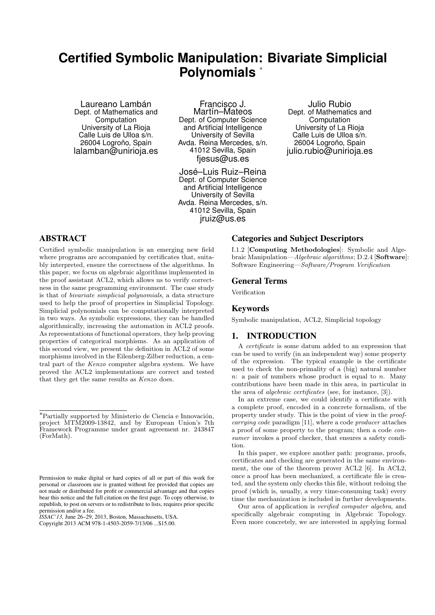# **Certified Symbolic Manipulation: Bivariate Simplicial Polynomials** <sup>∗</sup>

Laureano Lambán Dept. of Mathematics and Computation University of La Rioja Calle Luis de Ulloa s/n. 26004 Logroño, Spain lalamban@unirioja.es

Francisco J. Martín–Mateos Dept. of Computer Science and Artificial Intelligence University of Sevilla Avda. Reina Mercedes, s/n. 41012 Sevilla, Spain fiesus@us.es

José–Luis Ruiz–Reina Dept. of Computer Science and Artificial Intelligence University of Sevilla Avda. Reina Mercedes, s/n. 41012 Sevilla, Spain jruiz@us.es

Julio Rubio Dept. of Mathematics and Computation University of La Rioja Calle Luis de Ulloa s/n. 26004 Logroño, Spain julio.rubio@unirioja.es

# **ABSTRACT**

Certified symbolic manipulation is an emerging new field where programs are accompanied by certificates that, suitably interpreted, ensure the correctness of the algorithms. In this paper, we focus on algebraic algorithms implemented in the proof assistant ACL2, which allows us to verify correctness in the same programming environment. The case study is that of bivariate simplicial polynomials, a data structure used to help the proof of properties in Simplicial Topology. Simplicial polynomials can be computationally interpreted in two ways. As symbolic expressions, they can be handled algorithmically, increasing the automation in ACL2 proofs. As representations of functional operators, they help proving properties of categorical morphisms. As an application of this second view, we present the definition in ACL2 of some morphisms involved in the Eilenberg-Zilber reduction, a central part of the Kenzo computer algebra system. We have proved the ACL2 implementations are correct and tested that they get the same results as Kenzo does.

Copyright 2013 ACM 978-1-4503-2059-7/13/06 ...\$15.00.

## Categories and Subject Descriptors

I.1.2 [Computing Methodologies]: Symbolic and Algebraic Manipulation—Algebraic algorithms; D.2.4 [Software]: Software Engineering—Software/Program Verification

#### General Terms

Verification

#### Keywords

Symbolic manipulation, ACL2, Simplicial topology

## 1. INTRODUCTION

A certificate is some datum added to an expression that can be used to verify (in an independent way) some property of the expression. The typical example is the certificate used to check the non-primality of a (big) natural number  $n:$  a pair of numbers whose product is equal to  $n.$  Many contributions have been made in this area, in particular in the area of *algebraic certificates* (see, for instance, [3]).

In an extreme case, we could identify a certificate with a complete proof, encoded in a concrete formalism, of the property under study. This is the point of view in the proofcarrying code paradigm [11], where a code producer attaches a proof of some property to the program; then a code consumer invokes a proof checker, that ensures a safety condition.

In this paper, we explore another path: programs, proofs, certificates and checking are generated in the same environment, the one of the theorem prover ACL2 [6]. In ACL2, once a proof has been mechanized, a certificate file is created, and the system only checks this file, without redoing the proof (which is, usually, a very time-consuming task) every time the mechanization is included in further developments.

Our area of application is verified computer algebra, and specifically algebraic computing in Algebraic Topology. Even more concretely, we are interested in applying formal

<sup>\*</sup>Partially supported by Ministerio de Ciencia e Innovación, project MTM2009-13842, and by European Union's 7th Framework Programme under grant agreement nr. 243847 (ForMath).

Permission to make digital or hard copies of all or part of this work for personal or classroom use is granted without fee provided that copies are not made or distributed for profit or commercial advantage and that copies bear this notice and the full citation on the first page. To copy otherwise, to republish, to post on servers or to redistribute to lists, requires prior specific permission and/or a fee.

*ISSAC'13,* June 26–29, 2013, Boston, Massachusetts, USA.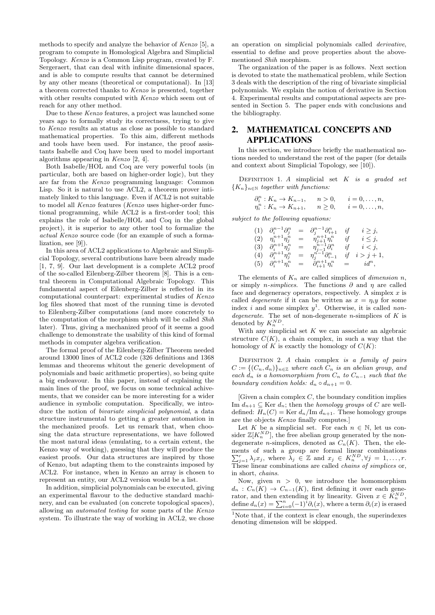methods to specify and analyze the behavior of Kenzo [5], a program to compute in Homological Algebra and Simplicial Topology. Kenzo is a Common Lisp program, created by F. Sergeraert, that can deal with infinite dimensional spaces, and is able to compute results that cannot be determined by any other means (theoretical or computational). In [13] a theorem corrected thanks to Kenzo is presented, together with other results computed with Kenzo which seem out of reach for any other method.

Due to these Kenzo features, a project was launched some years ago to formally study its correctness, trying to give to Kenzo results an status as close as possible to standard mathematical properties. To this aim, different methods and tools have been used. For instance, the proof assistants Isabelle and Coq have been used to model important algorithms appearing in Kenzo [2, 4].

Both Isabelle/HOL and Coq are very powerful tools (in particular, both are based on higher-order logic), but they are far from the Kenzo programming language: Common Lisp. So it is natural to use ACL2, a theorem prover intimately linked to this language. Even if ACL2 is not suitable to model all Kenzo features (Kenzo uses higher-order functional programming, while ACL2 is a first-order tool; this explains the role of Isabelle/HOL and Coq in the global project), it is superior to any other tool to formalize the actual Kenzo source code (for an example of such a formalization, see [9]).

In this area of ACL2 applications to Algebraic and Simplicial Topology, several contributions have been already made [1, 7, 9]. Our last development is a complete ACL2 proof of the so-called Eilenberg-Zilber theorem [8]. This is a central theorem in Computational Algebraic Topology. This fundamental aspect of Eilenberg-Zilber is reflected in its computational counterpart: experimental studies of Kenzo log files showed that most of the running time is devoted to Eilenberg-Zilber computations (and more concretely to the computation of the morphism which will be called Shih later). Thus, giving a mechanized proof of it seems a good challenge to demonstrate the usability of this kind of formal methods in computer algebra verification.

The formal proof of the Eilenberg-Zilber Theorem needed around 13000 lines of ACL2 code (326 definitions and 1368 lemmas and theorems whitout the generic development of polynomials and basic arithmetic properties), so being quite a big endeavour. In this paper, instead of explaining the main lines of the proof, we focus on some technical achivements, that we consider can be more interesting for a wider audience in symbolic computation. Specifically, we introduce the notion of bivariate simplicial polynomial, a data structure instrumental to getting a greater automation in the mechanized proofs. Let us remark that, when choosing the data structure representations, we have followed the most natural ideas (emulating, to a certain extent, the Kenzo way of working), guessing that they will produce the easiest proofs. Our data structures are inspired by those of Kenzo, but adapting them to the constraints imposed by ACL2. For instance, when in Kenzo an array is chosen to represent an entity, our ACL2 version would be a list.

In addition, simplicial polynomials can be executed, giving an experimental flavour to the deductive standard machinery, and can be evaluated (on concrete topological spaces), allowing an automated testing for some parts of the Kenzo system. To illustrate the way of working in ACL2, we chose

an operation on simplicial polynomials called derivative, essential to define and prove properties about the abovementioned Shih morphism.

The organization of the paper is as follows. Next section is devoted to state the mathematical problem, while Section 3 deals with the description of the ring of bivariate simplicial polynomials. We explain the notion of derivative in Section 4. Experimental results and computational aspects are presented in Section 5. The paper ends with conclusions and the bibliography.

## 2. MATHEMATICAL CONCEPTS AND APPLICATIONS

In this section, we introduce briefly the mathematical notions needed to understand the rest of the paper (for details and context about Simplicial Topology, see [10]).

DEFINITION 1. A simplicial set  $K$  is a graded set  ${K_n}_{n\in\mathbb{N}}$  together with functions:

| $\partial_i^n: K_n \to K_{n-1},$ | n>0,        | $i=0,\ldots,n,$ |
|----------------------------------|-------------|-----------------|
| $\eta_i^n: K_n \to K_{n+1},$     | $n\geq 0$ , | $i=0,\ldots,n,$ |

subject to the following equations:

|     | (1) $\partial_i^{n-1} \partial_j^n$ | $=$ | $\partial_i^{n-1}\partial_{i+1}^n$ | if | $i \geq j$ , |
|-----|-------------------------------------|-----|------------------------------------|----|--------------|
| (2) | $\eta_i^{n+1}\eta_j^n$              |     | $=$ $\eta_{j+1}^{n+1} \eta_i^n$    | if | $i\leq j$ ,  |
| (3) | $\partial_i^{n+1} \eta_j^n$         | $=$ | $\eta_{j-1}^{n-1}\partial_i^n$     | if | $i < j$ ,    |
| (4) | $\partial_i^{n+1} \eta_j^n$         | $=$ | $\eta_i^{n-1}\partial_{i-1}^n$     | if | $i > j + 1,$ |
| (5) | $\partial_i^{n+1} \eta_i^n$         | $=$ | $\partial_{i+1}^{n+1}\eta_i^n$     |    | $=$ $id^n$ , |

The elements of  $K_n$  are called simplices of *dimension* n, or simply *n-simplices*. The functions  $\partial$  and  $\eta$  are called face and degeneracy operators, respectively. A simplex  $x$  is called *degenerate* if it can be written as  $x = \eta_i y$  for some index i and some simplex  $y^1$ . Otherwise, it is called nondegenerate. The set of non-degenerate n-simplices of  $K$  is denoted by  $K_n^{ND}$ .

With any simplicial set  $K$  we can associate an algebraic structure  $C(K)$ , a chain complex, in such a way that the homology of K is exactly the homology of  $C(K)$ :

DEFINITION 2.  $A$  chain complex is a family of pairs  $C := \{ (C_n, d_n) \}_{n \in \mathbb{Z}}$  where each  $C_n$  is an abelian group, and each  $d_n$  is a homomorphism from  $C_n$  to  $C_{n-1}$  such that the boundary condition holds:  $d_n \circ d_{n+1} = 0$ .

 $[G$ iven a chain complex  $C$ , the boundary condition implies Im  $d_{n+1} \subseteq \text{Ker } d_n$ ; then the *homology groups* of C are welldefined:  $H_n(C) = \text{Ker } d_n / \text{Im } d_{n+1}$ . These homology groups are the objects Kenzo finally computes.]

Let K be a simplicial set. For each  $n \in \mathbb{N}$ , let us consider  $\mathbb{Z}[K_n^{ND}]$ , the free abelian group generated by the nondegenerate *n*-simplices, denoted as  $C_n(K)$ . Then, the elements of such a group are formal linear combinations  $\sum_{j=1}^r \lambda_j x_j$ , where  $\bar{\lambda}_j \in \mathbb{Z}$  and  $x_j \in K_n^{ND}, \forall j = 1, \ldots, r$ . These linear combinations are called *chains of simplices* or, in short, chains.

Now, given  $n > 0$ , we introduce the homomorphism  $d_n: C_n(K) \to C_{n-1}(K)$ , first defining it over each generator, and then extending it by linearity. Given  $x \in K_n^{ND}$ , define  $d_n(x) = \sum_{i=0}^n (-1)^i \partial_i(x)$ , where a term  $\partial_i(x)$  is erased

<sup>&</sup>lt;sup>1</sup>Note that, if the context is clear enough, the superindexes denoting dimension will be skipped.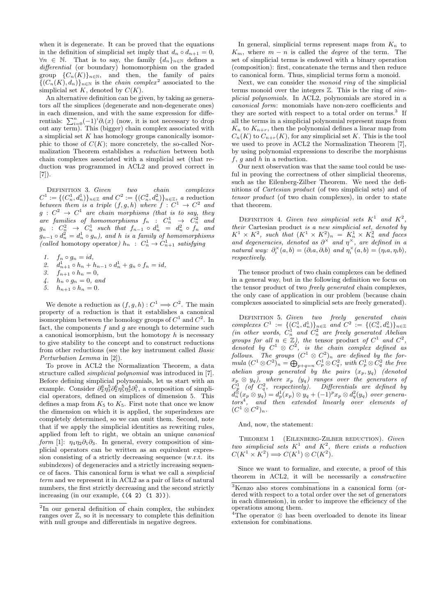when it is degenerate. It can be proved that the equations in the definition of simplicial set imply that  $d_n \circ d_{n+1} = 0$ ,  $\forall n \in \mathbb{N}$ . That is to say, the family  $\{d_n\}_{n\in\mathbb{N}}$  defines a differential (or boundary) homomorphism on the graded group  $\{C_n(K)\}_{n\in\mathbb{N}}$ , and then, the family of pairs  $\{ (C_n(K), d_n) \}_{n \in \mathbb{N}}$  is the *chain complex*<sup>2</sup> associated to the simplicial set  $K$ , denoted by  $C(K)$ .

An alternative definition can be given, by taking as generators all the simplices (degenerate and non-degenerate ones) in each dimension, and with the same expression for differentials:  $\sum_{i=0}^{n}(-1)^{i}\partial_{i}(x)$  (now, it is not necessary to drop out any term). This (bigger) chain complex associated with a simplicial set  $K$  has homology groups canonically isomorphic to those of  $C(K)$ ; more concretely, the so-called Normalization Theorem establishes a reduction between both chain complexes associated with a simplicial set (that reduction was programmed in ACL2 and proved correct in [7]).

DEFINITION 3. Given two chain complexes  $C^1 := \{ (C_n^1, d_n^1) \}_{n \in \mathbb{Z}}$  and  $C^2 := \{ (C_n^2, d_n^2) \}_{n \in \mathbb{Z}}$ , a reduction between them is a triple  $(f, g, h)$  where  $\hat{f}: C^1 \to C^2$  and  $g\,:\,C^2\,\rightarrow\,C^1$  are chain morphisms (that is to say, they are families of homomorphisms  $f_n$  :  $C_n^1$   $\rightarrow$   $C_n^2$  and  $g_n$  :  $C_n^2$   $\rightarrow$   $C_n^1$  such that  $f_{n-1} \circ d_n^1 = d_n^2 \circ f_n$  and  $g_{n-1} \circ d_n^2 = d_n^1 \circ g_n$ ), and h is a family of homomorphisms (called homotopy operator)  $h_n$ :  $C_n^1 \rightarrow C_{n+1}^1$  satisfying

- 1.  $f_n \circ g_n = id$ ,
- 2.  $d_{n+1}^1 \circ h_n + h_{n-1} \circ d_n^1 + g_n \circ f_n = id,$
- 3.  $f_{n+1} \circ h_n = 0$ ,
- 4.  $h_n \circ g_n = 0$ , and
- 5.  $h_{n+1} \circ h_n = 0$ .

We denote a reduction as  $(f, g, h) : C^1 \Longrightarrow C^2$ . The main property of a reduction is that it establishes a canonical isomorphism between the homology groups of  $C^1$  and  $C^2$ . In fact, the components  $f$  and  $g$  are enough to determine such a canonical isomorphism, but the homotopy  $h$  is necessary to give stability to the concept and to construct reductions from other reductions (see the key instrument called Basic Perturbation Lemma in [2]).

To prove in ACL2 the Normalization Theorem, a data structure called simplicial polynomial was introduced in [7]. Before defining simplicial polynomials, let us start with an example. Consider  $\partial_2^6 \eta_3^5 \partial_2^6 \eta_5^5 \eta_2^4 \partial_1^5$ , a composition of simplicial operators, defined on simplices of dimension 5. This defines a map from  $K_5$  to  $K_5$ . First note that once we know the dimension on which it is applied, the superindexes are completely determined, so we can omit them. Second, note that if we apply the simplicial identities as rewriting rules, applied from left to right, we obtain an unique canonical form [1]:  $\eta_4 \eta_2 \partial_1 \partial_3$ . In general, every composition of simplicial operators can be written as an equivalent expression consisting of a strictly decreasing sequence (w.r.t. its subindexes) of degeneracies and a strictly increasing sequence of faces. This canonical form is what we call a simplicial term and we represent it in ACL2 as a pair of lists of natural numbers, the first strictly decreasing and the second strictly increasing (in our example,  $((4 2) (1 3))$ ).

In general, simplicial terms represent maps from  $K_n$  to  $K_m$ , where  $m - n$  is called the *degree* of the term. The set of simplicial terms is endowed with a binary operation (composition): first, concatenate the terms and then reduce to canonical form. Thus, simplicial terms form a monoid.

Next, we can consider the monoid ring of the simplicial terms monoid over the integers  $\mathbb{Z}$ . This is the ring of simplicial polynomials. In ACL2, polynomials are stored in a canonical form: monomials have non-zero coefficients and they are sorted with respect to a total order on terms.<sup>3</sup> If all the terms in a simplicial polynomial represent maps from  $K_n$  to  $K_{n+r}$ , then the polynomial defines a linear map from  $C_n(K)$  to  $C_{n+r}(K)$ , for any simplicial set K. This is the tool we used to prove in ACL2 the Normalization Theorem [7], by using polynomial expressions to describe the morphisms  $f, q$  and h in a reduction.

Our next observation was that the same tool could be useful in proving the correctness of other simplicial theorems, such as the Eilenberg-Zilber Theorem. We need the definitions of Cartesian product (of two simplicial sets) and of tensor product (of two chain complexes), in order to state that theorem.

DEFINITION 4. Given two simplicial sets  $K^1$  and  $K^2$ , their Cartesian product is a new simplicial set, denoted by  $K^1 \times K^2$ , such that  $(K^1 \times K^2)_n = K_n^1 \times K_n^2$  and faces and degeneracies, denoted as  $\partial^{\times}$  and  $\eta^{\times}$ , are defined in a natural way:  $\partial_i^{\times}(a,b) = (\partial_i a, \partial_i b)$  and  $\eta_i^{\times}(a,b) = (\eta_i a, \eta_i b)$ , respectively.

The tensor product of two chain complexes can be defined in a general way, but in the following definition we focus on the tensor product of two freely generated chain complexes, the only case of application in our problem (because chain complexes associated to simplicial sets are freely generated).

DEFINITION 5. Given two freely generated chain complexes  $C^1 := \{ (C_n^1, d_n^1) \}_{n \in \mathbb{Z}}$  and  $C^2 := \{ (C_n^2, d_n^2) \}_{n \in \mathbb{Z}}$ (in other words,  $\hat{C}_n^1$  and  $\hat{C}_n^2$  are freely generated Abelian groups for all  $n \in \mathbb{Z}$ ), the tensor product of  $C^1$  and  $C^2$ , denoted by  $C^1 \otimes C^2$ , is the chain complex defined as follows. The groups  $(C^1 \otimes C^2)_n$  are defined by the for- $\emph{mula }(C^1\otimes C^2)_n=\bigoplus_{p+q=n}C_p^1\otimes C_q^2,~with~C_p^1\otimes C_q^2~~the~free$ abelian group generated by the pairs  $(x_p, y_q)$  (denoted  $x_p \, \otimes \, y_q), \,$  where  $x_p \, \, \, (y_q) \,$  ranges over the generators of  $\dot{C}_{p}^{1}$  (of  $C_{q}^{2}$ , respectively). Differentials are defined by  $d_n^{\otimes}(x_p \otimes y_q) = d_p^1(x_p) \otimes y_q + (-1)^p x_p \otimes d_q^2(y_q)$  over generators<sup>4</sup> , and then extended linearly over elements of  $(C^1\otimes C^2)_n$ .

And, now, the statement:

Theorem 1 (Eilenberg-Zilber reduction). Given two simplicial sets  $K^1$  and  $K^2$ , there exists a reduction  $C(K^1 \times K^2) \Longrightarrow C(K^1) \otimes C(K^2).$ 

Since we want to formalize, and execute, a proof of this theorem in ACL2, it will be necessarily a constructive

<sup>2</sup> In our general definition of chain complex, the subindex ranges over Z, so it is necessary to complete this definition with null groups and differentials in negative degrees.

<sup>3</sup>Kenzo also stores combinations in a canonical form (ordered with respect to a total order over the set of generators in each dimension), in order to improve the efficiency of the operations among them.

<sup>4</sup>The operator ⊗ has been overloaded to denote its linear extension for combinations.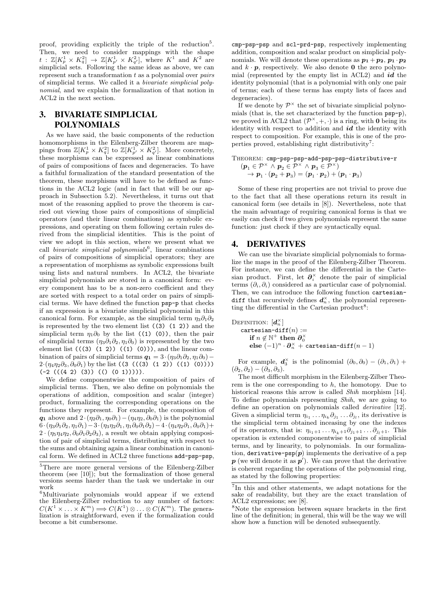proof, providing explicitly the triple of the reduction<sup>5</sup>. Then, we need to consider mappings with the shape  $t : \mathbb{Z}[K_p^1 \times K_q^2] \to \mathbb{Z}[K_{p'}^1 \times K_{q'}^2]$ , where  $K^1$  and  $K^2$  are simplicial sets. Following the same ideas as above, we can represent such a transformation  $t$  as a polynomial over *pairs* of simplicial terms. We called it a bivariate simplicial polynomial, and we explain the formalization of that notion in ACL2 in the next section.

# 3. BIVARIATE SIMPLICIAL POLYNOMIALS

As we have said, the basic components of the reduction homomorphisms in the Eilenberg-Zilber theorem are mappings from  $\mathbb{Z}[K_p^1 \times K_q^2]$  to  $\mathbb{Z}[K_{p'}^1 \times K_{q'}^2]$ . More concretely, these morphisms can be expressed as linear combinations of pairs of compositions of faces and degeneracies. To have a faithful formalization of the standard presentation of the theorem, these morphisms will have to be defined as functions in the ACL2 logic (and in fact that will be our approach in Subsection 5.2). Nevertheless, it turns out that most of the reasoning applied to prove the theorem is carried out viewing those pairs of compositions of simplicial operators (and their linear combinations) as symbolic expressions, and operating on them following certain rules derived from the simplicial identities. This is the point of view we adopt in this section, where we present what we call *bivariate* simplicial polynomials<sup>6</sup>, linear combinations of pairs of compositions of simplicial operators; they are a representation of morphisms as symbolic expressions built using lists and natural numbers. In ACL2, the bivariate simplicial polynomials are stored in a canonical form: every component has to be a non-zero coefficient and they are sorted with respect to a total order on pairs of simplicial terms. We have defined the function psp-p that checks if an expression is a bivariate simplicial polynomial in this canonical form. For example, as the simplicial term  $\eta_3\partial_1\partial_2$ is represented by the two element list  $(3)$   $(1 2)$  and the simplicial term  $\eta_1\partial_0$  by the list ((1) (0)), then the pair of simplicial terms  $(\eta_3 \partial_1 \partial_2, \eta_1 \partial_0)$  is represented by the two element list  $(((3) (1 2)) ((1) (0))$ , and the linear combination of pairs of simplicial terms  $q_1 = 3 \cdot (n_3 \partial_1 \partial_2, n_1 \partial_0)$  –  $2·(\eta_4\eta_2\partial_3, \partial_0\partial_1)$  by the list ((3 (((3) (1 2)) ((1) (0))))  $(-2 (( (4 2) (3)) (() (0 1)))))$ .

We define componentwise the composition of pairs of simplicial terms. Then, we also define on polynomials the operations of addition, composition and scalar (integer) product, formalizing the corresponding operations on the functions they represent. For example, the composition of  $q_1$  above and  $2\cdot(\eta_2\partial_1,\eta_0\partial_1)-(\eta_4\eta_2,\partial_0\partial_1)$  is the polynomial  $6·(\eta_3\partial_1\partial_2,\eta_1\partial_1)-3·(\eta_3\eta_2\partial_1,\eta_1\partial_0\partial_1\partial_2)-4·(\eta_4\eta_2\partial_1,\partial_0\partial_1)+$  $2 \cdot (\eta_5 \eta_4 \eta_2, \partial_0 \partial_1 \partial_2 \partial_3)$ , a result we obtain applying composition of pair of simplicial terms, distributing with respect to the sums and obtaining again a linear combination in canonical form. We defined in ACL2 three functions add-psp-psp,

cmp-psp-psp and scl-prd-psp, respectively implementing addition, composition and scalar product on simplicial polynomials. We will denote these operations as  $p_1 + p_2$ ,  $p_1 \cdot p_2$ and  $k \cdot p$ , respectively. We also denote **0** the zero polynomial (represented by the empty list in ACL2) and  $id$  the identity polynomial (that is a polynomial with only one pair of terms; each of these terms has empty lists of faces and degeneracies).

If we denote by  $\mathcal{P}^{\times}$  the set of bivariate simplicial polynomials (that is, the set characterized by the function psp-p), we proved in ACL2 that  $(\mathcal{P}^{\times}, +, \cdot)$  is a ring, with **0** being its identity with respect to addition and  $id$  the identity with respect to composition. For example, this is one of the properties proved, establishing right distributivity<sup>7</sup>:

THEOREM: cmp-psp-psp-add-psp-psp-distributive-r  $(\boldsymbol{p}_1 \in \mathcal{P}^\times \,\wedge\, \boldsymbol{p}_2 \in \mathcal{P}^\times \,\wedge\, \boldsymbol{p}_3 \in \mathcal{P}^\times)$  $\rightarrow \boldsymbol{p}_1\cdot(\boldsymbol{p}_2+\boldsymbol{p}_3)=(\boldsymbol{p}_1\cdot\boldsymbol{p}_2)+(\boldsymbol{p}_1\cdot\boldsymbol{p}_3)$ 

Some of these ring properties are not trivial to prove due to the fact that all these operations return its result in canonical form (see details in [8]). Nevertheless, note that the main advantage of requiring canonical forms is that we easily can check if two given polynomials represent the same function: just check if they are syntactically equal.

#### 4. DERIVATIVES

We can use the bivariate simplicial polynomials to formalize the maps in the proof of the Eilenberg-Zilber Theorem. For instance, we can define the differential in the Cartesian product. First, let  $\partial_i^{\times}$  denote the pair of simplicial terms  $(\partial_i, \partial_i)$  considered as a particular case of polynomial. Then, we can introduce the following function cartesiandiff that recursively defines  $d_n^{\times}$ , the polynomial representing the differential in the Cartesian product<sup>8</sup>:

Definition:  $[\boldsymbol{d}_n^{\times}]$ cartesian-diff $(n) :=$ if  $n \notin \mathbb{N}^+$  then  $\partial_0^{\times}$ else  $(-1)^n\cdot \partial^\times_n$  + cartesian-diff $(n-1)$ 

For example,  $\mathbf{d}_3^{\times}$  is the polinomial  $(\partial_0, \partial_0) - (\partial_1, \partial_1)$  +  $(\partial_2, \partial_2) - (\partial_3, \partial_3).$ 

The most difficult morphism in the Eilenberg-Zilber Theorem is the one corresponding to  $h$ , the homotopy. Due to historical reasons this arrow is called *Shih* morphism [14]. To define polynomials representing Shih, we are going to define an operation on polynomials called derivative [12]. Given a simplicial term  $\eta_{i_1} \dots \eta_{i_k} \partial_{j_1} \dots \partial_{j_l}$ , its derivative is the simplicial term obtained inceasing by one the indexes of its operators, that is:  $\eta_{i_1+1} \dots \eta_{i_k+1} \partial_{j_1+1} \dots \partial_{j_l+1}$ . This operation is extended componentwise to pairs of simplicial terms, and by linearity, to polynomials. In our formalization, derivative-psp $(p)$  implements the derivative of a psp  $p$  (we will denote it as  $p'$ ). We can prove that the derivative is coherent regarding the operations of the polynomial ring, as stated by the following properties:

<sup>&</sup>lt;sup>5</sup>There are more general versions of the Eilenberg-Zilber theorem (see [10]); but the formalization of those general versions seems harder than the task we undertake in our work

<sup>&</sup>lt;sup>6</sup>Multivariate polynomials would appear if we extend the Eilenberg-Zilber reduction to any number of factors:  $C(K^1 \times \ldots \times K^m) \Longrightarrow C(K^1) \otimes \ldots \otimes C(K^m)$ . The generalization is straightforward, even if the formalization could become a bit cumbersome.

<sup>7</sup> In this and other statements, we adapt notations for the sake of readability, but they are the exact translation of ACL2 expressions; see [8].

<sup>&</sup>lt;sup>8</sup>Note the expression between square brackets in the first line of the definition; in general, this will be the way we will show how a function will be denoted subsequently.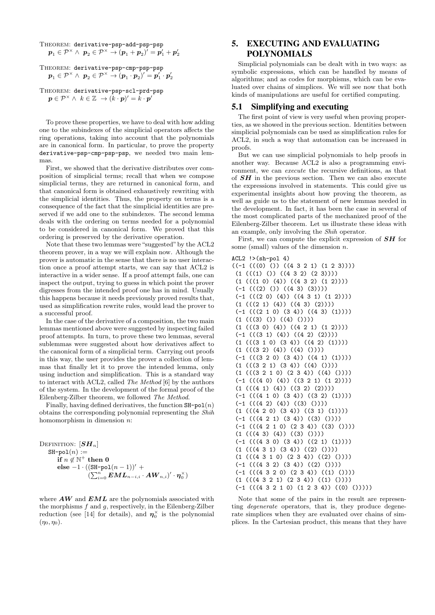THEOREM: derivative-psp-add-psp-psp  
\n
$$
p_1 \in \mathcal{P}^{\times} \land p_2 \in \mathcal{P}^{\times} \rightarrow (p_1 + p_2)' = p'_1 + p'_2
$$
\nTHEOREM: derivative-psp-cmp-psp-psp  
\n
$$
p_1 \in \mathcal{P}^{\times} \land p_2 \in \mathcal{P}^{\times} \rightarrow (p_1 \cdot p_2)' = p'_1 \cdot p'_2
$$

THEOREM: derivative-psp-scl-prd-psp  $\boldsymbol{p} \in \mathcal{P}^{\times} \wedge \ \ k \in \mathbb{Z} \ \rightarrow (k \cdot \boldsymbol{p})^{\prime} = k \cdot \boldsymbol{p}^{\prime}$ 

To prove these properties, we have to deal with how adding one to the subindexes of the simplicial operators affects the ring operations, taking into account that the polynomials are in canonical form. In particular, to prove the property derivative-psp-cmp-psp-psp, we needed two main lemmas.

First, we showed that the derivative distributes over composition of simplicial terms; recall that when we compose simplicial terms, they are returned in canonical form, and that canonical form is obtained exhaustively rewriting with the simplicial identities. Thus, the property on terms is a consequence of the fact that the simplicial identities are preserved if we add one to the subindexes. The second lemma deals with the ordering on terms needed for a polynomial to be considered in canonical form. We proved that this ordering is preserved by the derivative operation.

Note that these two lemmas were "suggested"by the ACL2 theorem prover, in a way we will explain now. Although the prover is automatic in the sense that there is no user interaction once a proof attempt starts, we can say that ACL2 is interactive in a wider sense. If a proof attempt fails, one can inspect the output, trying to guess in which point the prover digresses from the intended proof one has in mind. Usually this happens because it needs previously proved results that, used as simplification rewrite rules, would lead the prover to a successful proof.

In the case of the derivative of a composition, the two main lemmas mentioned above were suggested by inspecting failed proof attempts. In turn, to prove these two lemmas, several sublemmas were suggested about how derivatives affect to the canonical form of a simplicial term. Carrying out proofs in this way, the user provides the prover a collection of lemmas that finally let it to prove the intended lemma, only using induction and simplification. This is a standard way to interact with ACL2, called The Method [6] by the authors of the system. In the development of the formal proof of the Eilenberg-Zilber theorem, we followed The Method.

Finally, having defined derivatives, the function  $\text{SH-pol}(n)$ obtains the corresponding polynomial representing the Shih homomorphism in dimension  $n$ :

```
DEFINITION: [\boldsymbol{S}\boldsymbol{H}_n]SH-pol(n) :=if n \notin \mathbb{N}^+ then 0
           else -1 · ((SH-po1(n − 1))' +
                                (\sum_{i=0}^n \boldsymbol{E M L}_{n-i,i} \cdot \boldsymbol{A W}_{n,i})' \cdot \boldsymbol{\eta}_0^{\times})
```
where  $\boldsymbol{A}\boldsymbol{W}$  and  $\boldsymbol{E}\boldsymbol{M}\boldsymbol{L}$  are the polynomials associated with the morphisms  $f$  and  $g$ , respectively, in the Eilenberg-Zilber reduction (see [14] for details), and  $\eta_0^{\times}$  is the polynomial  $(\eta_0, \eta_0).$ 

# 5. EXECUTING AND EVALUATING POLYNOMIALS

Simplicial polynomials can be dealt with in two ways: as symbolic expressions, which can be handled by means of algorithms; and as codes for morphisms, which can be evaluated over chains of simplices. We will see now that both kinds of manipulations are useful for certified computing.

## 5.1 Simplifying and executing

The first point of view is very useful when proving properties, as we showed in the previous section. Identities between simplicial polynomials can be used as simplification rules for ACL2, in such a way that automation can be increased in proofs.

But we can use simplicial polynomials to help proofs in another way. Because ACL2 is also a programming environment, we can *execute* the recursive definitions, as that of  $SH$  in the previous section. Then we can also execute the expressions involved in statements. This could give us experimental insights about how proving the theorem, as well as guide us to the statement of new lemmas needed in the development. In fact, it has been the case in several of the most complicated parts of the mechanized proof of the Eilenberg-Zilber theorem. Let us illustrate these ideas with an example, only involving the Shih operator.

First, we can compute the explicit expression of  $SH$  for some (small) values of the dimension  $n$ .

```
ACL2 !>(sh-po1 4)((-1 ((0) ())(4321) (123))))(1 (((1) ()) ((4 3 2) (2 3))))
(1 (((1 0) (4)) ((4 3 2) (1 2))))(-1 (((2) ()) ((43) (3))))
```

```
(-1 ((2 0) (4)) ((4 3 1) (1 2))))(1 (((2 1) (4)) ((4 3) (2))))(-1 (( (2 1 0) (3 4)) ((4 3) (1))))(1 (((3) ()) ((4) ()))
(1 (((3 0) (4)) ((4 2 1) (1 2))))(-1 (((3 1) (4)) ((4 2) (2))))
(1 (((3 1 0) (3 4)) ((4 2) (1))))(1 ((3 2) (4)) ((4) ())(-1 (((3 2 0) (3 4)) ((4 1) (1))))
(1 (((3 2 1) (3 4)) ((4) ()))(1 (((3 2 1 0) (2 3 4)) ((4) ()))(-1 (( (4 0) (4)) ((3 2 1) (1 2))))(1 (((4 1) (4)) (3 2) (2))))(-1 (((4 1 0) (3 4)) ((3 2) (1))))
(-1 (((4 2) (4)) ((3) ())))
(1 (((4 2 0) (3 4)) ((3 1) (1))))(-1 (( (4 2 1) (3 4)) ((3) ())))(-1 (((4 2 1 0) (2 3 4)) ((3) ())))
(1 (((43) (4)) ((3) ())))(-1 (((4 3 0) (3 4)) ((2 1) (1))))
(1 (((431) (34)) ((2) ())))(1 (((4 3 1 0) (2 3 4)) ((2) ()))(-1 (((4 3 2) (3 4)) ((2) ()))(-1 (((4 3 2 0) (2 3 4)) ((1) ())))
(1 (((4 3 2 1) (2 3 4)) ((1) ())))
(-1 (((4 3 2 1 0) (1 2 3 4)) ((0) ()))
```
Note that some of the pairs in the result are representing degenerate operators, that is, they produce degenerate simplices when they are evaluated over chains of simplices. In the Cartesian product, this means that they have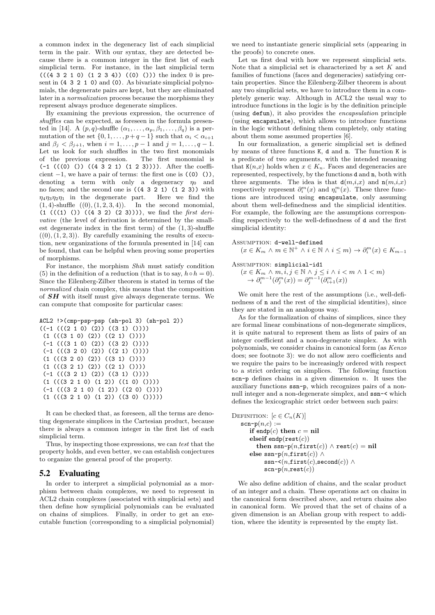a common index in the degeneracy list of each simplicial term in the pair. With our syntax, they are detected because there is a common integer in the first list of each simplicial term. For instance, in the last simplicial term  $((4 3 2 1 0) (1 2 3 4)) ((0) ()$ ) the index 0 is present in (4 3 2 1 0) and (0). As bivariate simplicial polynomials, the degenerate pairs are kept, but they are eliminated later in a normalization process because the morphisms they represent always produce degenerate simplices.

By examining the previous expression, the ocurrence of shuffles can be expected, as foreseen in the formula presented in [14]. A  $(p, q)$ -shuffle  $(\alpha_1, \ldots, \alpha_p, \beta_1, \ldots, \beta_q)$  is a permutation of the set  $\{0, 1, \ldots, p + q - 1\}$  such that  $\alpha_i < \alpha_{i+1}$ and  $\beta_j < \beta_{j+1}$ , when  $i = 1, ..., p - 1$  and  $j = 1, ..., q - 1$ . Let us look for such shuffles in the two first monomials of the previous expression. The first monomial is  $(-1$  (((0) ()) ((4 3 2 1) (1 2 3)))). After the coefficient  $-1$ , we have a pair of terms: the first one is  $(0)$  ()), denoting a term with only a degeneracy  $\eta_0$  and no faces; and the second one is  $((4 3 2 1) (1 2 3))$  with  $\eta_4 \eta_3 \eta_2 \eta_1$  in the degenerate part. Here we find the  $\eta_4 \eta_3 \eta_2 \eta_1$  in the degenerate part.  $(1, 4)$ -shuffle  $((0), (1, 2, 3, 4))$ . In the second monomial,  $(1 ((1) ()) ((4 3 2) (2 3))))$ , we find the first derivative (the level of derivation is determined by the smallest degenerate index in the first term) of the  $(1, 3)$ -shuffle  $((0), (1, 2, 3))$ . By carefully examining the results of execution, new organizations of the formula presented in [14] can be found, that can be helpful when proving some properties of morphisms.

For instance, the morphism Shih must satisfy condition (5) in the definition of a reduction (that is to say,  $h \circ h = 0$ ). Since the Eilenberg-Zilber theorem is stated in terms of the normalized chain complex, this means that the composition of SH with itself must give always degenerate terms. We can compute that composite for particular cases:

```
ACL2 !>(cmp-psp-psp (sh-pol 3) (sh-pol 2))
((-1 ((2 1 0) (2)) ((3 1) ()))(1 ((3 1 0) (2)) ((2 1) ()))(-1 (((3 1 0) (2)) ((3 2) ()))(-1 (( (3 2 0) (2)) ((2 1) ())))(1 ((3 2 0) (2)) ((3 1) (1))(1 ((3 2 1) (2)) ((2 1) ())))(-1 (((3 2 1) (2)) ((3 1) ())))(1 (((3 2 1 0) (1 2)) ((1 0) ()))(-1 (((3 2 1 0) (1 2)) ((2 0) ())))
 (1 (((3 2 1 0) (1 2)) ((3 0) ()))
```
It can be checked that, as foreseen, all the terms are denoting degenerate simplices in the Cartesian product, because there is always a common integer in the first list of each simplicial term.

Thus, by inspecting those expressions, we can test that the property holds, and even better, we can establish conjectures to organize the general proof of the property.

## 5.2 Evaluating

In order to interpret a simplicial polynomial as a morphism between chain complexes, we need to represent in ACL2 chain complexes (associated with simplicial sets) and then define how symplicial polynomials can be evaluated on chains of simplices. Finally, in order to get an executable function (corresponding to a simplicial polynomial) we need to instantiate generic simplicial sets (appearing in the proofs) to concrete ones.

Let us first deal with how we represent simplicial sets. Note that a simplicial set is characterized by a set  $K$  and families of functions (faces and degeneracies) satisfying certain properties. Since the Eilenberg-Zilber theorem is about any two simplicial sets, we have to introduce them in a completely generic way. Although in ACL2 the usual way to introduce functions in the logic is by the definition principle (using defun), it also provides the encapsulation principle (using encapsulate), which allows to introduce functions in the logic without defining them completely, only stating about them some assumed properties [6].

In our formalization, a generic simplicial set is defined by means of three functions K, d and n. The function K is a predicate of two arguments, with the intended meaning that  $K(n,x)$  holds when  $x \in K_n$ . Faces and degeneracies are represented, respectively, by the functions d and n, both with three arguments. The idea is that  $d(m,i,x)$  and  $n(m,i,x)$ respectively represent  $\partial_i^m(x)$  and  $\eta_i^m(x)$ . These three functions are introduced using encapsulate, only assuming about them well-definedness and the simplicial identities. For example, the following are the assumptions corresponding respectively to the well-definedness of d and the first simplicial identity:

Assumption: d-well-defined

$$
(x \in K_m \land m \in \mathbb{N}^+ \land i \in \mathbb{N} \land i \leq m) \to \partial_i^m(x) \in K_{m-1}
$$

Assumption: simplicial-id1

 $(x \in K_m \wedge m, i, j \in \mathbb{N} \wedge j \leq i \wedge i < m \wedge 1 < m)$  $\rightarrow \partial_i^{m-1}(\partial_j^m(x)) = \partial_j^{m-1}(\partial_{i+1}^m(x))$ 

We omit here the rest of the assumptions (i.e., well-definedness of n and the rest of the simplicial identities), since they are stated in an analogous way.

As for the formalization of chains of simplices, since they are formal linear combinations of non-degenerate simplices, it is quite natural to represent them as lists of pairs of an integer coefficient and a non-degenerate simplex. As with polynomials, we consider chains in canonical form (as Kenzo does; see footnote 3): we do not allow zero coefficients and we require the pairs to be increasingly ordered with respect to a strict ordering on simplices. The following function scn-p defines chains in a given dimension  $n$ . It uses the auxiliary functions ssn-p, which recognizes pairs of a nonnull integer and a non-degenerate simplex, and ssn-< which defines the lexicographic strict order between such pairs:

```
DEFINITION: [c \in C_n(K)]\texttt{scn-p}(n,c) :=if endp(c) then c = \textbf{nil}elseif endp(\texttt{rest}(c))
           then ssn-p(n,first(c)) \wedge rest(c) = nil
       else ssn-p(n,first(c)) \wedgessn-\leq (n, \text{first}(c), \text{second}(c)) ∧
              \texttt{scn-p}(n,\texttt{rest}(c))
```
We also define addition of chains, and the scalar product of an integer and a chain. These operations act on chains in the canonical form described above, and return chains also in canonical form. We proved that the set of chains of a given dimension is an Abelian group with respect to addition, where the identity is represented by the empty list.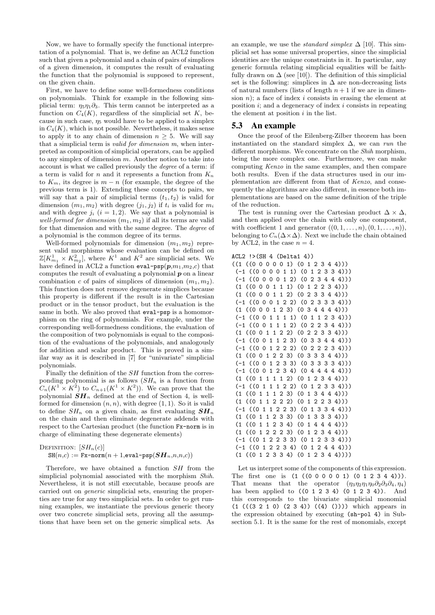Now, we have to formally specify the functional interpretation of a polynomial. That is, we define an ACL2 function such that given a polynomial and a chain of pairs of simplices of a given dimension, it computes the result of evaluating the function that the polynomial is supposed to represent, on the given chain.

First, we have to define some well-formedness conditions on polynomials. Think for example in the following simplicial term:  $\eta_5\eta_1\partial_3$ . This term cannot be interpreted as a function on  $C_4(K)$ , regardless of the simplicial set K, because in such case,  $\eta_5$  would have to be applied to a simplex in  $C_4(K)$ , which is not possible. Nevertheless, it makes sense to apply it to any chain of dimension  $n \geq 5$ . We will say that a simplicial term is valid for dimension m, when interpreted as composition of simplicial operators, can be applied to any simplex of dimension m. Another notion to take into account is what we called previously the degree of a term: if a term is valid for n and it represents a function from  $K_n$ to  $K_m$ , its degree is  $m - n$  (for example, the degree of the previous term is 1). Extending these concepts to pairs, we will say that a pair of simplicial terms  $(t_1, t_2)$  is valid for dimension  $(m_1, m_2)$  with degree  $(i_1, i_2)$  if  $t_i$  is valid for  $m_i$ and with degree  $j_i$   $(i = 1, 2)$ . We say that a polynomial is well-formed for dimension  $(m_1, m_2)$  if all its terms are valid for that dimension and with the same degree. The degree of a polynomial is the common degree of its terms.

Well-formed polynomials for dimension  $(m_1, m_2)$  represent valid morphisms whose evaluation can be defined on  $\mathbb{Z}[K_{m_1}^1 \times K_{m_2}^2]$ , where  $K^1$  and  $K^2$  are simplicial sets. We have defined in ACL2 a function  $eval-psp(p,m_1,m_2,c)$  that computes the result of evaluating a polynomial  $p$  on a linear combination c of pairs of simplices of dimension  $(m_1, m_2)$ . This function does not remove degenerate simplices because this property is different if the result is in the Cartesian product or in the tensor product, but the evaluation is the same in both. We also proved that **eval-psp** is a homomorphism on the ring of polynomials. For example, under the corresponding well-formedness conditions, the evaluation of the composition of two polynomials is equal to the composition of the evaluations of the polynomials, and analogously for addition and scalar product. This is proved in a similar way as it is described in [7] for "univariate" simplicial polynomials.

Finally the definition of the SH function from the corresponding polynomial is as follows  $(SH_n$  is a function from  $C_n(K^1 \times K^2)$  to  $C_{n+1}(K^1 \times K^2)$ . We can prove that the polynomial  $SH_n$  defined at the end of Section 4, is wellformed for dimension  $(n, n)$ , with degree  $(1, 1)$ . So it is valid to define  $SH_n$  on a given chain, as first evaluating  $SH_n$ on the chain and then eliminate degenerate addends with respect to the Cartesian product (the function Fx-norm is in charge of eliminating these degenerate elements)

DEFINITION: 
$$
[SH_n(c)]
$$
  
SH(n,c) :=  $\text{Fx-norm}(n+1,\text{eval-psp}(SH_n,n,n,c))$ 

Therefore, we have obtained a function SH from the simplicial polynomial associated with the morphism Shih. Nevertheless, it is not still executable, because proofs are carried out on generic simplicial sets, ensuring the properties are true for any two simplicial sets. In order to get running examples, we instantiate the previous generic theory over two concrete simplicial sets, proving all the assumptions that have been set on the generic simplical sets. As

an example, we use the *standard simplex*  $\Delta$  [10]. This simplicial set has some universal properties, since the simplicial identities are the unique constraints in it. In particular, any generic formula relating simplicial equalities will be faithfully drawn on  $\Delta$  (see [10]). The definition of this simplicial set is the following: simplices in  $\Delta$  are non-decreasing lists of natural numbers (lists of length  $n + 1$  if we are in dimension  $n$ ; a face of index i consists in erasing the element at position  $i$ ; and a degeneracy of index  $i$  consists in repeating the element at position  $i$  in the list.

#### 5.3 An example

Once the proof of the Eilenberg-Zilber theorem has been instantiated on the standard simplex  $\Delta$ , we can run the different morphisms. We concentrate on the Shih morphism, being the more complex one. Furthermore, we can make computing Kenzo in the same examples, and then compare both results. Even if the data structures used in our implementation are different from that of Kenzo, and consequently the algorithms are also different, in essence both implementations are based on the same definition of the triple of the reduction.

The test is running over the Cartesian product  $\Delta \times \Delta$ , and then applied over the chain with only one component, with coefficient 1 and generator  $((0, 1, \ldots, n), (0, 1, \ldots, n)),$ belonging to  $C_n(\Delta \times \Delta)$ . Next we include the chain obtained by ACL2, in the case  $n = 4$ .

#### ACL2 !>(SH 4 (Delta1 4))

Let us interpret some of the components of this expression. The first one is (1 ((0 0 0 0 0 1) (0 1 2 3 4 4))). That means that the operator  $(\eta_3\eta_2\eta_1\eta_0\partial_2\partial_3\partial_4, \eta_4)$ has been applied to ((0 1 2 3 4) (0 1 2 3 4)). And this corresponds to the bivariate simplicial monomial  $(1$   $(((3 2 1 0) (2 3 4)) ((4) ()))$  which appears in the expression obtained by executing (sh-pol 4) in Subsection 5.1. It is the same for the rest of monomials, except